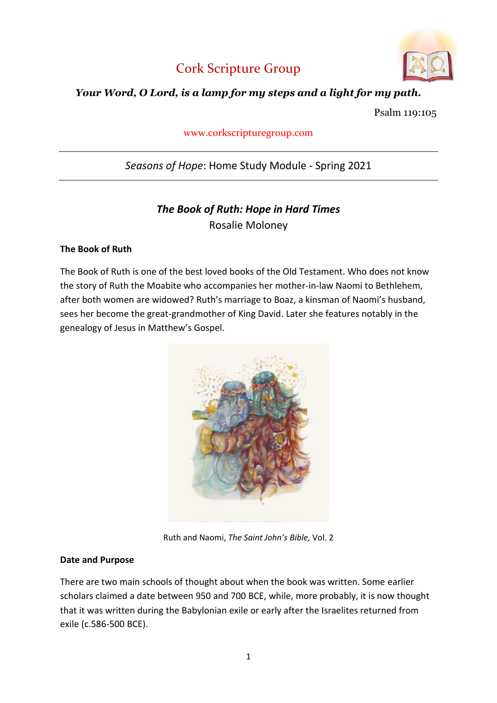



## *Your Word, O Lord, is a lamp for my steps and a light for my path.*

Psalm 119:105

www.corkscripturegroup.com

# *Seasons of Hope*: Home Study Module - Spring 2021

# *The Book of Ruth: Hope in Hard Times* Rosalie Moloney

## **The Book of Ruth**

The Book of Ruth is one of the best loved books of the Old Testament. Who does not know the story of Ruth the Moabite who accompanies her mother-in-law Naomi to Bethlehem, after both women are widowed? Ruth's marriage to Boaz, a kinsman of Naomi's husband, sees her become the great-grandmother of King David. Later she features notably in the genealogy of Jesus in Matthew's Gospel.



Ruth and Naomi, *The Saint John's Bible,* Vol. 2

## **Date and Purpose**

There are two main schools of thought about when the book was written. Some earlier scholars claimed a date between 950 and 700 BCE, while, more probably, it is now thought that it was written during the Babylonian exile or early after the Israelites returned from exile (c.586-500 BCE).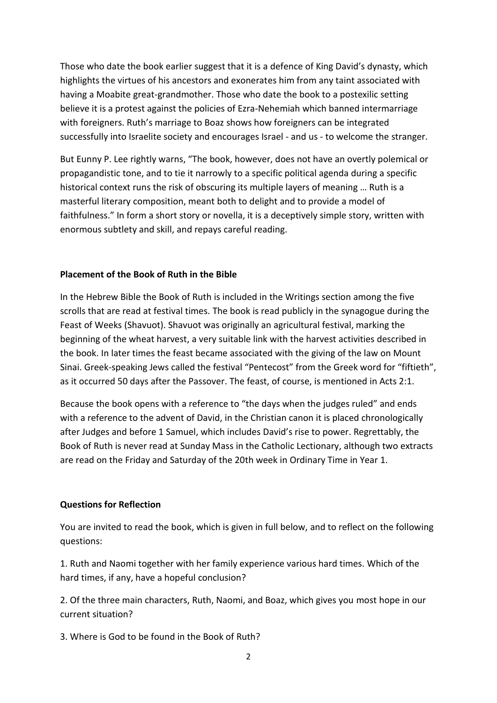Those who date the book earlier suggest that it is a defence of King David's dynasty, which highlights the virtues of his ancestors and exonerates him from any taint associated with having a Moabite great-grandmother. Those who date the book to a postexilic setting believe it is a protest against the policies of Ezra-Nehemiah which banned intermarriage with foreigners. Ruth's marriage to Boaz shows how foreigners can be integrated successfully into Israelite society and encourages Israel - and us - to welcome the stranger.

But Eunny P. Lee rightly warns, "The book, however, does not have an overtly polemical or propagandistic tone, and to tie it narrowly to a specific political agenda during a specific historical context runs the risk of obscuring its multiple layers of meaning … Ruth is a masterful literary composition, meant both to delight and to provide a model of faithfulness." In form a short story or novella, it is a deceptively simple story, written with enormous subtlety and skill, and repays careful reading.

## **Placement of the Book of Ruth in the Bible**

In the Hebrew Bible the Book of Ruth is included in the Writings section among the five scrolls that are read at festival times. The book is read publicly in the synagogue during the Feast of Weeks (Shavuot). Shavuot was originally an agricultural festival, marking the beginning of the wheat harvest, a very suitable link with the harvest activities described in the book. In later times the feast became associated with the giving of the law on Mount Sinai. Greek-speaking Jews called the festival "Pentecost" from the Greek word for "fiftieth", as it occurred 50 days after the Passover. The feast, of course, is mentioned in Acts 2:1.

Because the book opens with a reference to "the days when the judges ruled" and ends with a reference to the advent of David, in the Christian canon it is placed chronologically after Judges and before 1 Samuel, which includes David's rise to power. Regrettably, the Book of Ruth is never read at Sunday Mass in the Catholic Lectionary, although two extracts are read on the Friday and Saturday of the 20th week in Ordinary Time in Year 1.

## **Questions for Reflection**

You are invited to read the book, which is given in full below, and to reflect on the following questions:

1. Ruth and Naomi together with her family experience various hard times. Which of the hard times, if any, have a hopeful conclusion?

2. Of the three main characters, Ruth, Naomi, and Boaz, which gives you most hope in our current situation?

3. Where is God to be found in the Book of Ruth?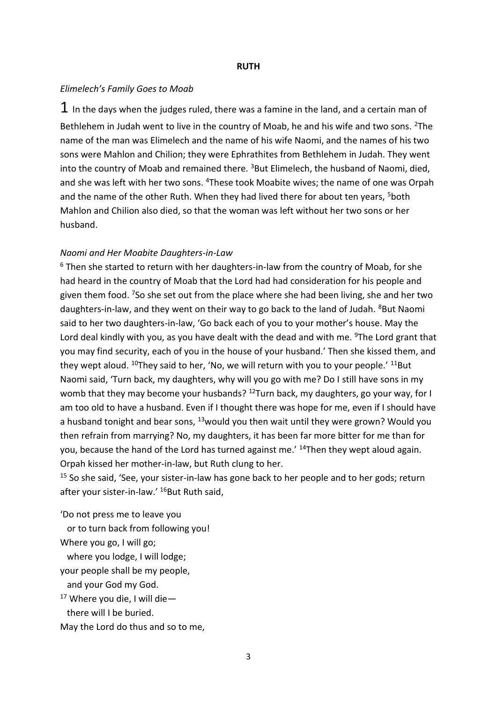#### **RUTH**

#### *Elimelech's Family Goes to Moab*

 $1$  In the days when the judges ruled, there was a famine in the land, and a certain man of Bethlehem in Judah went to live in the country of Moab, he and his wife and two sons. <sup>2</sup>The name of the man was Elimelech and the name of his wife Naomi, and the names of his two sons were Mahlon and Chilion; they were Ephrathites from Bethlehem in Judah. They went into the country of Moab and remained there. <sup>3</sup>But Elimelech, the husband of Naomi, died, and she was left with her two sons. <sup>4</sup>These took Moabite wives; the name of one was Orpah and the name of the other Ruth. When they had lived there for about ten years, <sup>5</sup>both Mahlon and Chilion also died, so that the woman was left without her two sons or her husband.

#### *Naomi and Her Moabite Daughters-in-Law*

 $6$  Then she started to return with her daughters-in-law from the country of Moab, for she had heard in the country of Moab that the Lord had had consideration for his people and given them food. <sup>7</sup>So she set out from the place where she had been living, she and her two daughters-in-law, and they went on their way to go back to the land of Judah. <sup>8</sup>But Naomi said to her two daughters-in-law, 'Go back each of you to your mother's house. May the Lord deal kindly with you, as you have dealt with the dead and with me. <sup>9</sup>The Lord grant that you may find security, each of you in the house of your husband.' Then she kissed them, and they wept aloud.  $^{10}$ They said to her, 'No, we will return with you to your people.'  $^{11}$ But Naomi said, 'Turn back, my daughters, why will you go with me? Do I still have sons in my womb that they may become your husbands?  $12$ Turn back, my daughters, go your way, for I am too old to have a husband. Even if I thought there was hope for me, even if I should have a husband tonight and bear sons,  $^{13}$ would you then wait until they were grown? Would you then refrain from marrying? No, my daughters, it has been far more bitter for me than for you, because the hand of the Lord has turned against me.' <sup>14</sup>Then they wept aloud again. Orpah kissed her mother-in-law, but Ruth clung to her.

 $15$  So she said, 'See, your sister-in-law has gone back to her people and to her gods; return after your sister-in-law.' <sup>16</sup>But Ruth said,

'Do not press me to leave you

or to turn back from following you!

Where you go, I will go;

where you lodge, I will lodge;

your people shall be my people,

and your God my God.

 $17$  Where you die, I will die -

there will I be buried.

May the Lord do thus and so to me,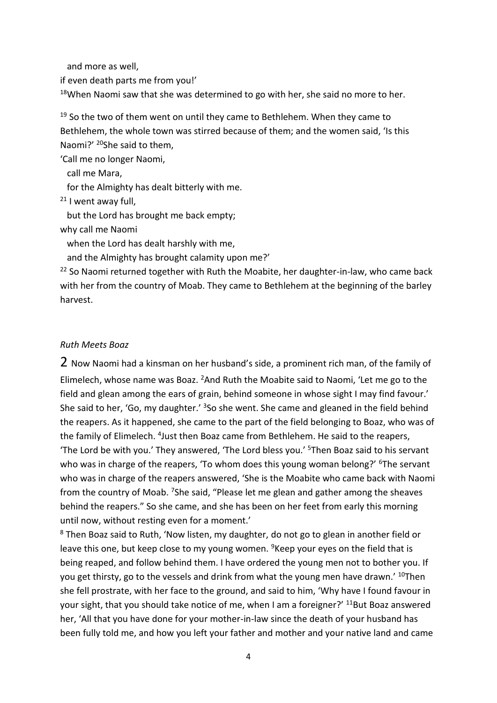and more as well,

if even death parts me from you!'

 $18$ When Naomi saw that she was determined to go with her, she said no more to her.

 $19$  So the two of them went on until they came to Bethlehem. When they came to Bethlehem, the whole town was stirred because of them; and the women said, 'Is this Naomi?' <sup>20</sup>She said to them,

'Call me no longer Naomi,

call me Mara,

for the Almighty has dealt bitterly with me.

 $21$  I went away full,

but the Lord has brought me back empty;

why call me Naomi

when the Lord has dealt harshly with me,

and the Almighty has brought calamity upon me?'

<sup>22</sup> So Naomi returned together with Ruth the Moabite, her daughter-in-law, who came back with her from the country of Moab. They came to Bethlehem at the beginning of the barley harvest.

## *Ruth Meets Boaz*

2 Now Naomi had a kinsman on her husband's side, a prominent rich man, of the family of Elimelech, whose name was Boaz.  $^{2}$ And Ruth the Moabite said to Naomi, 'Let me go to the field and glean among the ears of grain, behind someone in whose sight I may find favour.' She said to her, 'Go, my daughter.' <sup>3</sup>So she went. She came and gleaned in the field behind the reapers. As it happened, she came to the part of the field belonging to Boaz, who was of the family of Elimelech. <sup>4</sup>Just then Boaz came from Bethlehem. He said to the reapers, 'The Lord be with you.' They answered, 'The Lord bless you.' <sup>5</sup>Then Boaz said to his servant who was in charge of the reapers, 'To whom does this young woman belong?' <sup>6</sup>The servant who was in charge of the reapers answered, 'She is the Moabite who came back with Naomi from the country of Moab. <sup>7</sup>She said, "Please let me glean and gather among the sheaves behind the reapers." So she came, and she has been on her feet from early this morning until now, without resting even for a moment.'

<sup>8</sup> Then Boaz said to Ruth, 'Now listen, my daughter, do not go to glean in another field or leave this one, but keep close to my young women. <sup>9</sup>Keep your eyes on the field that is being reaped, and follow behind them. I have ordered the young men not to bother you. If you get thirsty, go to the vessels and drink from what the young men have drawn.' <sup>10</sup>Then she fell prostrate, with her face to the ground, and said to him, 'Why have I found favour in your sight, that you should take notice of me, when I am a foreigner?' <sup>11</sup>But Boaz answered her, 'All that you have done for your mother-in-law since the death of your husband has been fully told me, and how you left your father and mother and your native land and came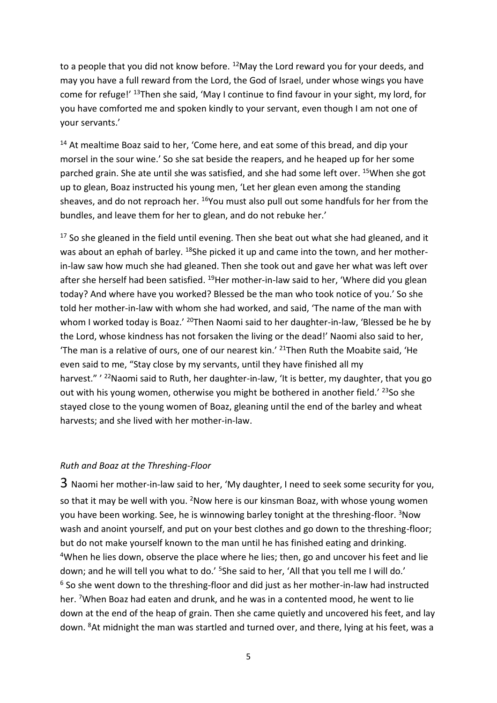to a people that you did not know before. <sup>12</sup>May the Lord reward you for your deeds, and may you have a full reward from the Lord, the God of Israel, under whose wings you have come for refuge!' <sup>13</sup>Then she said, 'May I continue to find favour in your sight, my lord, for you have comforted me and spoken kindly to your servant, even though I am not one of your servants.'

 $14$  At mealtime Boaz said to her, 'Come here, and eat some of this bread, and dip your morsel in the sour wine.' So she sat beside the reapers, and he heaped up for her some parched grain. She ate until she was satisfied, and she had some left over. <sup>15</sup>When she got up to glean, Boaz instructed his young men, 'Let her glean even among the standing sheaves, and do not reproach her. <sup>16</sup>You must also pull out some handfuls for her from the bundles, and leave them for her to glean, and do not rebuke her.'

 $17$  So she gleaned in the field until evening. Then she beat out what she had gleaned, and it was about an ephah of barley. <sup>18</sup>She picked it up and came into the town, and her motherin-law saw how much she had gleaned. Then she took out and gave her what was left over after she herself had been satisfied. <sup>19</sup>Her mother-in-law said to her, 'Where did you glean today? And where have you worked? Blessed be the man who took notice of you.' So she told her mother-in-law with whom she had worked, and said, 'The name of the man with whom I worked today is Boaz.' <sup>20</sup>Then Naomi said to her daughter-in-law, 'Blessed be he by the Lord, whose kindness has not forsaken the living or the dead!' Naomi also said to her, 'The man is a relative of ours, one of our nearest kin.'  $21$ Then Ruth the Moabite said, 'He even said to me, "Stay close by my servants, until they have finished all my harvest." '<sup>22</sup>Naomi said to Ruth, her daughter-in-law, 'It is better, my daughter, that you go out with his young women, otherwise you might be bothered in another field.'  $^{23}$ So she stayed close to the young women of Boaz, gleaning until the end of the barley and wheat harvests; and she lived with her mother-in-law.

## *Ruth and Boaz at the Threshing-Floor*

3 Naomi her mother-in-law said to her, 'My daughter, I need to seek some security for you, so that it may be well with you. <sup>2</sup>Now here is our kinsman Boaz, with whose young women you have been working. See, he is winnowing barley tonight at the threshing-floor. <sup>3</sup>Now wash and anoint yourself, and put on your best clothes and go down to the threshing-floor; but do not make yourself known to the man until he has finished eating and drinking. <sup>4</sup>When he lies down, observe the place where he lies; then, go and uncover his feet and lie down; and he will tell you what to do.' <sup>5</sup>She said to her. 'All that you tell me I will do.'  $6$  So she went down to the threshing-floor and did just as her mother-in-law had instructed her. <sup>7</sup>When Boaz had eaten and drunk, and he was in a contented mood, he went to lie down at the end of the heap of grain. Then she came quietly and uncovered his feet, and lay down. <sup>8</sup>At midnight the man was startled and turned over, and there, lying at his feet, was a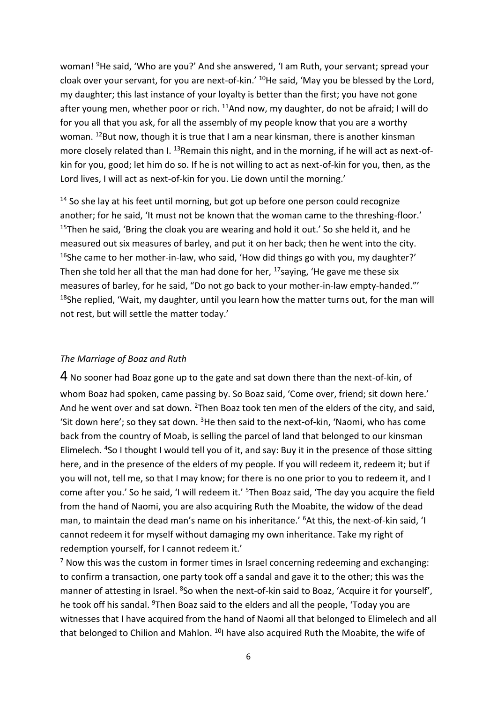woman! <sup>9</sup>He said, 'Who are you?' And she answered, 'I am Ruth, your servant; spread your cloak over your servant, for you are next-of-kin.' <sup>10</sup>He said, 'May you be blessed by the Lord, my daughter; this last instance of your loyalty is better than the first; you have not gone after young men, whether poor or rich. <sup>11</sup>And now, my daughter, do not be afraid; I will do for you all that you ask, for all the assembly of my people know that you are a worthy woman. <sup>12</sup>But now, though it is true that I am a near kinsman, there is another kinsman more closely related than I. <sup>13</sup>Remain this night, and in the morning, if he will act as next-ofkin for you, good; let him do so. If he is not willing to act as next-of-kin for you, then, as the Lord lives, I will act as next-of-kin for you. Lie down until the morning.'

 $14$  So she lay at his feet until morning, but got up before one person could recognize another; for he said, 'It must not be known that the woman came to the threshing-floor.' <sup>15</sup>Then he said, 'Bring the cloak you are wearing and hold it out.' So she held it, and he measured out six measures of barley, and put it on her back; then he went into the city. <sup>16</sup>She came to her mother-in-law, who said, 'How did things go with you, my daughter?' Then she told her all that the man had done for her,  $17$  saying, 'He gave me these six measures of barley, for he said, "Do not go back to your mother-in-law empty-handed."' <sup>18</sup>She replied, 'Wait, my daughter, until you learn how the matter turns out, for the man will not rest, but will settle the matter today.'

## *The Marriage of Boaz and Ruth*

4 No sooner had Boaz gone up to the gate and sat down there than the next-of-kin, of whom Boaz had spoken, came passing by. So Boaz said, 'Come over, friend; sit down here.' And he went over and sat down. <sup>2</sup>Then Boaz took ten men of the elders of the city, and said, 'Sit down here'; so they sat down.  $3$ He then said to the next-of-kin, 'Naomi, who has come back from the country of Moab, is selling the parcel of land that belonged to our kinsman Elimelech. <sup>4</sup>So I thought I would tell you of it, and say: Buy it in the presence of those sitting here, and in the presence of the elders of my people. If you will redeem it, redeem it; but if you will not, tell me, so that I may know; for there is no one prior to you to redeem it, and I come after you.' So he said, 'I will redeem it.' <sup>5</sup>Then Boaz said, 'The day you acquire the field from the hand of Naomi, you are also acquiring Ruth the Moabite, the widow of the dead man, to maintain the dead man's name on his inheritance.' <sup>6</sup>At this, the next-of-kin said, 'I cannot redeem it for myself without damaging my own inheritance. Take my right of redemption yourself, for I cannot redeem it.'

 $<sup>7</sup>$  Now this was the custom in former times in Israel concerning redeeming and exchanging:</sup> to confirm a transaction, one party took off a sandal and gave it to the other; this was the manner of attesting in Israel. <sup>8</sup>So when the next-of-kin said to Boaz, 'Acquire it for yourself', he took off his sandal. <sup>9</sup>Then Boaz said to the elders and all the people, 'Today you are witnesses that I have acquired from the hand of Naomi all that belonged to Elimelech and all that belonged to Chilion and Mahlon.  $10$ I have also acquired Ruth the Moabite, the wife of

6